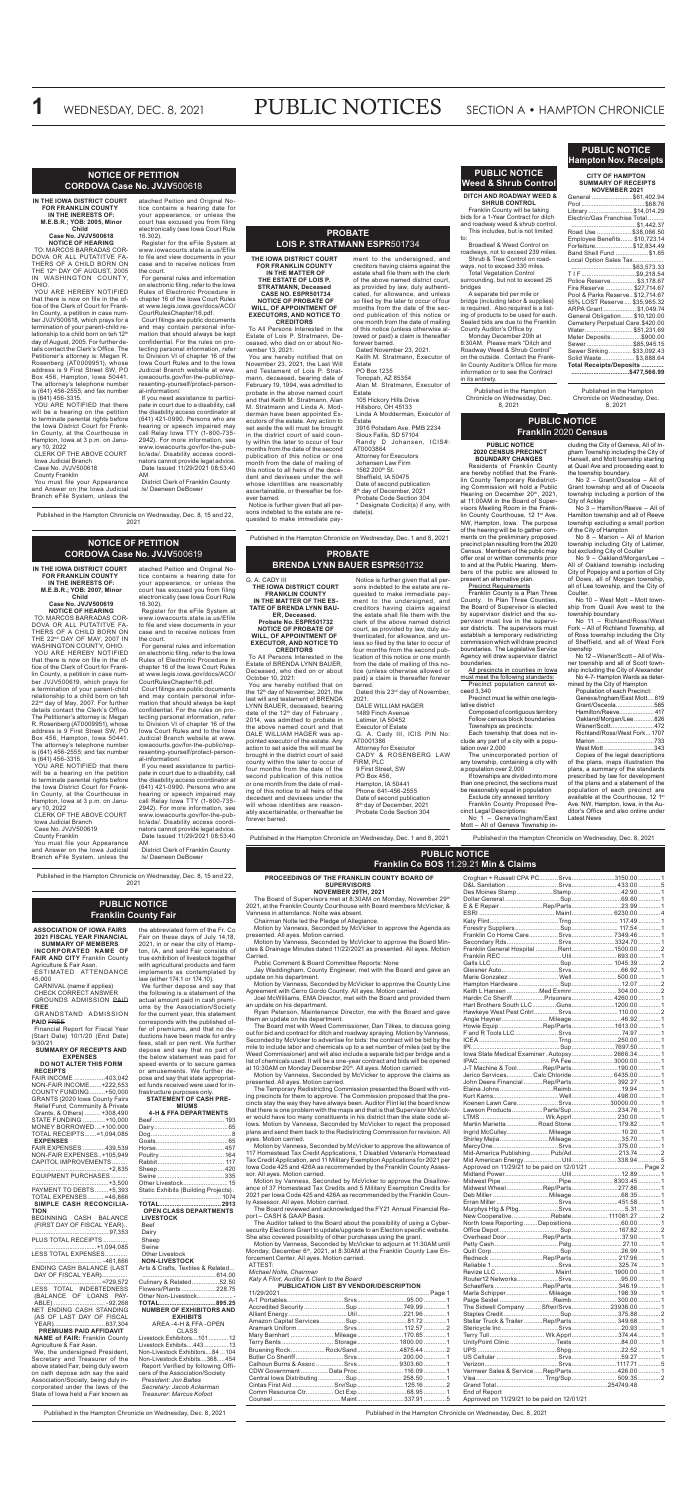# WEDNESDAY, DEC. 8, 2021 **PUBLIC NOTICES** SECTION A • HAMPTON CHRONICLE

# **PROBATE BRENDA LYNN BAUER ESPR**501732

**THE IOWA DISTRICT COURT FRANKLIN COUNTY IN THE MATTER OF THE ES-**

**TATE OF BRENDA LYNN BAU-ER, Deceased. Probate No. ESPR501732**

**NOTICE OF PROBATE OF WILL, OF APPOINTMENT OF EXECUTOR, AND NOTICE TO CREDITORS**

To All Persons Interested in the Estate of BRENDA LYNN BAUER, Deceased, who died on or about October 10, 2021:

four months from the second publication of this notice or one month from the date of mailing of this notice (unless otherwise allowed or paid) a claim is thereafter forever barred. Dated this 23<sup>rd</sup> day of November,

You are hereby notified that on the 12<sup>th</sup> day of November, 2021, the last will and testament of BRENDA LYNN BAUER, deceased, bearing date of the 12<sup>th</sup> day of February, 2014, was admitted to probate in the above named court and that DALE WILLIAM HAGER was appointed executor of the estate. Any action to set aside the will must be brought in the district court of said county within the later to occur of four months from the date of the second publication of this notice or one month from the date of mailing of this notice to all heirs of the decedent and devisees under the will whose identities are reasonably ascertainable, or thereafter be forever barred.

Notice is further given that all persons indebted to the estate are requested to make immediate payment to the undersigned, and creditors having claims against the estate shall file them with the clerk of the above named district court, as provided by law, duly authenticated, for allowance, and unless so filed by the later to occur of

2021. DALE WILLIAM HAGER

1489 Finch Avenue Latimer, IA 50452

Executor of Estate G. A. Cady III, ICIS PIN No: AT0001386

Attorney for Executor CADY & ROSENBERG LAW FIRM, PLC

9 First Street, SW PO Box 456, Hampton, IA 50441

ably equal in po

Phone: 641-456-2555 Date of second publication 8<sup>th</sup> day of December, 2021 Probate Code Section 304

Published in the Hampton Chronicle on Wednesday, Dec. 1 and 8, 2021

**FOR FRANKLIN COUNTY IN THE MATTER OF THE ESTATE OF LOIS P. STRATMANN, Deceased CASE NO. ESPR501734 NOTICE OF PROBATE OF WILL, OF APPOINTMENT OF EXECUTORS, AND NOTICE TO CREDITORS** 

The Board of Supervisors met at 8:30AM on Monday, November 29<sup>th</sup> 2021, at the Franklin County Courthouse with Board members McVicker, & Vanness in attendance. Nolte was absent.

To All Persons Interested in the Estate of Lois P. Stratmann, Deceased, who died on or about November 13, 2021:

The Board met with Weed Commissioner, Dan Tilkes, to discuss going out for bid and contract for ditch and roadway spraying. Motion by Vanness, Seconded by McVicker to advertise for bids: the contract will be bid by the mile to include labor and chemicals up to a set number of miles (set by the Weed Commissioner) and will also include a separate bid per bridge and a list of chemicals used. It will be a one-year contract and bids will be opened<br>at 10:30AM on Monday December 20th. All ayes. Motion carried.

# **PROBATE LOIS P. STRATMANN ESPR**501734 **THE IOWA DISTRICT COURT**  ment to the undersigned, and

You are hereby notified that on November 23, 2021, the Last Will and Testament of Lois P. Stratmann, deceased, bearing date of February 19, 1994, was admitted to probate in the above named court and that Keith M. Stratmann, Alan M. Stratmann and Linda A. Modderman have been appointed Executors of the estate. Any action to set aside the will must be brought in the district court of said county within the later to occur of four months from the date of the second publication of this notice or one month from the date of mailing of this notice to all heirs of the decedent and devisees under the will whose identities are reasonably ascertainable, or thereafter be forever barred.

Notice is further given that all persons indebted to the estate are requested to make immediate pay-

creditors having claims against the estate shall file them with the clerk of the above named district court, as provided by law, duly authenticated, for allowance, and unless so filed by the later to occur of four months from the date of the second publication of this notice or one month from the date of mailing of this notice (unless otherwise allowed or paid) a claim is thereafter forever barred.

Dated November 23, 2021. Keith M. Stratmann, Executor of

Estate

PO Box 1235 Tonopah, AZ 85354

Alan M. Stratmann, Executor of Estate 105 Hickory Hills Drive Hillsboro, OH 45133 Linda A Modderman, Executor of Estate 3916 Potsdam Ave. PMB 2234 Sioux Fallis, SD 57104 Randy D Johansen, ICIS#: AT0003864 Attorney for Executors Johansen Law Firm 1562 200th St. Sheffield, IA 50475

Date of second publication 8th day of December, 2021 Probate Code Section 304 \* Designate Codicil(s) if any, with

date(s).

Published in the Hampton Chronicle on Wednesday, Dec. 1 and 8, 2021

# **PROCEEDINGS OF THE FRANKLIN COUNTY BOARD OF SUPERVISORS**

# **NOVEMBER 29TH, 2021**

Chairman Nolte led the Pledge of Allegiance.

Motion by Vanness, Seconded by McVicker to approve the Agenda as presented. All ayes. Motion carried.

Motion by Vanness, Seconded by McVicker to approve the Board Minutes & Drainage Minutes dated 11/22/2021 as presented. All ayes. Motion Carried.

Public Comment & Board Committee Reports: None

Jay Waddingham, County Engineer, met with the Board and gave an update on his department.

Motion by Vanness, Seconded by McVicker to approve the County Line Agreement with Cerro Gordo County. All ayes. Motion carried.

Joel McWilliams, EMA Director, met with the Board and provided them an update on his department.

Ryan Peterson, Maintenance Director, me with the Board and gave them an update on his department.

Motion by Vanness, Seconded by McVicker to approve the claims as presented. All ayes. Motion carried.

The Temporary Redistricting Commission presented the Board with voting precincts for them to approve. The Commission proposed that the precincts stay the way they have always been. Auditor Flint let the board know that there is one problem with the maps and that is that Supervisor McVicker would have too many constituents in his district than the state code allows. Motion by Vanness, Seconded by McVicker to reject the proposed plans and send them back to the Redistricting Commission for revision. All ayes. Motion carried.

Motion by Vanness, Seconded by McVicker to approve the allowance of 117 Homestead Tax Credit Applications, 1 Disabled Veteran's Homestead Tax Credit Application, and 11 Military Exemption Applications for 2021 per Iowa Code 425 and 426A as recommended by the Franklin County Assessor. All ayes. Motion carried.

Motion by Vanness, Seconded by McVicker to approve the Disallowance of 37 Homestead Tax Credits and 5 Military Exemption Credits for 2021 per Iowa Code 425 and 426A as recommended by the Franklin County Assessor. All ayes. Motion carried.

The Board reviewed and acknowledged the FY21 Annual Financial Report – CASH & GAAP Basis.

The Auditor talked to the Board about the possibility of using a Cybersecurity Elections Grant to update/upgrade to an Election specific website. She also covered possibility of other purchases using the grant.

Motion by Vanness, Seconded by McVicker to adjourn at 11:30AM until Monday, December 6<sup>th</sup>, 2021, at 8:30AM at the Franklin County Law Enforcement Center. All ayes. Motion carried.

| ATTEST: |  |
|---------|--|
|         |  |

*Michael Nolte, Chairman*

*Katy A Flint, Auditor & Clerk to the Board* **PUBLICATION LIST BY VENDOR/DESCRIPTION**

| Mary Barnhart  Mileage170.85 1       |  |  |
|--------------------------------------|--|--|
|                                      |  |  |
| Bruening RockRock/Sand4875.44 2      |  |  |
|                                      |  |  |
|                                      |  |  |
|                                      |  |  |
|                                      |  |  |
| Cintas First Aid  Srv/Sup  125.16  2 |  |  |
|                                      |  |  |
|                                      |  |  |
|                                      |  |  |

Croghan + Russell CPA PC...........Srvs.........................3150.00 .............1 D&L Sanitation ..............................Srvs.......................... 433.00 .............5

Exclude city annexed territory Franklin County Proposed Precinct Legal Descriptions: No  $\tilde{1}$  – Geneva/Ingham/East

Des Moines Stamp.

Franklin Co Home Care..

Marie Gonzalez....

Hardin Co Sheriff...

Dollar General ................................Sup.............................69.60 .............1 E & E Repair .........................Rep/Parts.............................23.99 .............1 ESRI ............................................ Maint........................ 6230.00 .............4 Katy Flint........................................Trng........................... 117.49 .............1 Forestry Suppliers..........................Sup........................... 117.54 .............1

Secondary Rds..............................Srvs.........................3324.70 .............1 Franklin General Hospital .............Rent.........................1500.00 .............2 Franklin REC ...................................Util.......................... 693.00 .............1 Galls LLC........................................Sup........................ 1045.39 .............2 Gleisner Auto.................................Srvs.............................66.92 .............1

Hampton Hardware ........................Sup.............................12.07 .............2 Keith L Hansen ...................Med Exmnr.......................... 304.00 .............2

Hart Brothers South LLC..............Guns.........................1200.00 .............1 Hawkeye West Pest Cntrl..............Srvs...........................110.00 .............2 .<br>Angie Hayner............................ Mileage..............................46.92<br>Howie Equip ........................Rep/Parts........................... 1613.00 Howie Equip .........................Rep/Parts.........................1613.00 .............1 F and R Tools LLC.........................Srvs.............................74.97 .............1 ICEA ..............................................Trng...........................250.00 .............1

........................................... 97,353 PLUS TOTAL RECEIPTS.

.+1,094,085 LESS TOTAL EXPENSES.............

We further depose and say that the following is a statement of the actual amount paid in cash premiums by the Association/Society for the current year, this statement corresponds with the published offer of premiums, and that no deductions have been made for entry fees, stall or pen rent. We further depose and say that no part of the below statement was paid for speed events or to secure games or amusements. We further depose and say that state appropriated funds received were used for infrastructure purposes only.

G. A. CADY III **NOTICE OF PETITION**

YOU ARE NOTIFIED that there will be a hearing on the petition to terminate parental rights before the Iowa District Court for Frank-

> IPI....................................................Sup.........................7697.50 .............1 Iowa State Medical Examiner .Autopsy........................ 2666.34 .............1 IPAC.......................................... PA Fee........................ 3000.00 .............1 J-T Machine & Tool..............Rep/Parts..............................190.00<br>Jerico Services................Calc Chloride........................ 6435.00 Jerico Services............... Calc Chloride........................ 6435.00<br>John Deere Financial ...........Rep/Parts.......................... 392.27 John Deere Financial .. Elaina Johns ...............................Reimb.............................19.94 .............1 Kurt Karns...................................... Well.......................... 498.00 .............1 Koenen Lawn Care.. Lawson Products..................Parts/Sup...........................234.76 .............1 ..... Wk Apprl............................ 230.00<br>Road Stone...........................179.82 Martin Marietta ... Ingrid McCulley........................ Mileage.............................10.20 .............1 Shirley Mejia............................ Mileage.............................35.70 .............1 MercyOne......................................Srvs...........................375.00 .............1 Mid-America Publishing........... Pub/Ad........................... 213.74 .............2 Mid American Energy......................Util.......................... 338.94 .............5 Approved on 11/29/21 to be paid on 12/01/21 ................................ Page 2 Midland Power.................................Util.............................12.89 .............1 Midwest Pipe .................................Pipe........................ 8303.45 .............1 Midwest Wheel. Deb Miller ................................ Mileage.............................68.35 .............1 Erran Miller....................................Srvs...........................451.58 .............1 Murphys Htg & Plbg.......................Srvs...............................5.31 .............1 New Cooperative......................Rebate..................... 111081.27<br>North Iowa Reporting........Depositions............................60.00 North Iowa Reporting........Depositions.............................60.00 .............1 Office Depot ...................................Sup...........................167.82 .............2 Overhead Door.....................Rep/Parts.............................37.90 .............1 Petty Cash.....................................Pstg............................. 27.10 .............1 Quill Corp........................................Sup.............................26.99 .............1 Redneck ...............................Rep/Parts........................... 217.96 .............1 Reliable 1.......................................Srvs...........................325.74 .............1 Revize LLC. Router12 Networks........................Srvs.............................95.00 .............1 Schaeffers ...............................Rep/Parts...................................<br>Marla Schipper ......................... Mileaqe .............................198.39 Marla Schipper Paige Seidel ...............................Reimb.......................... 300.00 .............1 The Sidwell Company .........Sftwr/Srvs...................... 23936.00 .............1 Staples Credit.................................Sup...........................375.88 .............2 Stellar Truck & Trailer...........Rep/Parts.......................... 349.68 .............1 Stericycle Inc .................................Srvs.............................20.93 .............1 Terry Tull... UnityPoint Clinic ...........................Tests.............................84.00 .............1 UPS ..............................................Shpg.............................22.52 .............1 US Cellular ....................................Srvs.............................59.27 .............1 Verizon...........................................Srvs..........................1117.71 .............5 Vermeer Sales & Service.....Rep/Parts...........................426.00 .............1 Visa........................................ Trng/Sup.......................... 509.35 .............2 Grand Total. End of Report Approved on 11/29/21 to be paid on 12/01/21

YOU ARE NOTIFIED that there will be a hearing on the petition to terminate parental rights before the Iowa District Court for Franklin County, at the Courthouse in Hampton, Iowa at 3 p.m. on January 10, 2022

# **PUBLIC NOTICE Franklin Co BOS** 11.29.21 **Min & Claims**

Published in the Hampton Chronicle on Wednesday, Dec. 8, 2021

**DITCH AND ROADWAY WEED & SHRUB CONTROL** Franklin County will be taking bids for a 1-Year Contract for ditch and roadway weed & shrub control. This includes, but is not limited

to:

Broadleaf & Weed Control on roadways, not to exceed 239 miles. Shrub & Tree Control on roadways, not to exceed 330 miles. Total Vegetation Control surrounding, but not to exceed 25

bridges

A separate bid per mile or bridge (including labor & supplies) is required. Also required is a listing of products to be used for each. Sealed bids are due to the Franklin County Auditor's Office by Monday December 20th at 8:30AM. Please mark "Ditch and Roadway Weed & Shrub Control" on the outside. Contact the Franklin County Auditor's Office for more information or to see the Contract

in its entirety.

**PUBLIC NOTICE Weed & Shrub Control**

Published in the Hampton Chronicle on Wednesday, Dec. 8, 2021

# **PUBLIC NOTICE Franklin** 2020 **Census**

Published in the Hampton Chronicle on Wednesday, Dec. 8, 2021

**PUBLIC NOTICE 2020 CENSUS PRECINCT BOUNDARY CHANGES**

Residents of Franklin County are hereby notified that the Franklin County Temporary Redistricting Commission will hold a Public Hearing on December 20th, 2021, at 11:00AM in the Board of Supervisors Meeting Room in the Franklin County Courthouse, 12 1st Ave. NW, Hampton, Iowa. The purpose of the hearing will be to gather comments on the preliminary proposed precinct plan resulting from the 2020 Census. Members of the public may offer oral or written comments prior to and at the Public Hearing. Members of the public are allowed to present an alternative plan.

# Precinct Requirements

Franklin County is a Plan Three County. In Plan Three Counties, the Board of Supervisor is elected by supervisor district and the supervisor must live in the supervisor districts. The supervisors must establish a temporary redistricting commission which will draw precinct boundaries. The Legislative Service Agency will draw supervisor district boundaries.

All precincts in counties in Iowa must meet the following standards: Precinct population cannot exceed 3,340

Precinct must lie within one legislative district

Composed of contiguous territory Follow census block boundaries

Townships as precincts:

Each township that does not include any part of a city with a population over 2,000

The unincorporated portion of any township, containing a city with a population over 2,000 If townships are divided into more than one precinct, the sections must

Mott – All of Geneva Township in-

cluding the City of Geneva, All of Ingham Township including the City of Hansell, and Mott township starting at Quail Ave and proceeding east to

the township boundary.

No 2 – Grant/Osceloa – All of Grant township and all of Osceola township including a portion of the

City of Ackley No 3 – Hamilton/Reeve – All of Hamilton township and all of Reeve township excluding a small portion of the City of Hampton No 8 – Marion – All of Marion township including City of Latimer,

but excluding City of Coulter No 9 – Oakland/Morgan/Lee – All of Oakland township including City of Popejoy and a portion of City of Dows, all of Morgan township,

all of Lee township, and the City of Coulter. No 10 – West Mott – Mott township from Quail Ave west to the township boundary

No 11 – Richland/Ross/West Fork – All of Richland Township, all of Ross township including the City of Sheffield, and all of West Fork township

No 12 – Wisner/Scott – All of Wisner township and all of Scott township including the City of Alexander No 4-7- Hampton Wards as deter-

mined by the City of Hampton

| Population of each Precinct:        |  |
|-------------------------------------|--|
| Geneva/Ingham/East Mott619          |  |
| Grant/Osceola565                    |  |
| Hamilton/Reeve 417                  |  |
| Oakland/Morgan/Lee826               |  |
| Wisner/Scott472                     |  |
| Richland/Ross/West Fork1707         |  |
|                                     |  |
| West Mott 343                       |  |
| Operator of the Texas dependent and |  |

Copies of the legal descriptions of the plans, maps illustration the plans, a summary of the standards prescribed by law for development of the plans and a statement of the population of each precin available at the Courthouse. 12 1st Ave. NW, Hampton, Iowa, in the Auditor's Office and also online under Latest News

# **PUBLIC NOTICE Hampton Nov. Receipts**

**CITY OF HAMPTON SUMMARY OF RECEIPTS**

| <b>NOVEMBER 2021</b>             |  |
|----------------------------------|--|
| General \$61,402.94              |  |
|                                  |  |
| Library\$14,014.29               |  |
| Electric/Gas Franchise Total     |  |
| \$1,442.37                       |  |
| Road Use  \$38,066.50            |  |
| Employee Benefits \$10,723.14    |  |
| Forfeiture\$12,834.49            |  |
| Band Shell Fund  \$1.65          |  |
| Local Option Sales Tax           |  |
| \$63,573.33                      |  |
| TIF\$9,218.54                    |  |
| Police Reserve \$3,178.67        |  |
| Fire Reserve  \$27,714.67        |  |
| Pool & Parks Reserve \$12,714.67 |  |
| 55% LOST Reserve \$35,965.32     |  |
| ARPA Grant  \$1,049.74           |  |
| General Obligation \$10,120.00   |  |
| Cemetery Perpetual Care.\$420.00 |  |
| Water \$51,231.69                |  |
| Meter Deposits\$900.00           |  |
| Sewer\$85,945.15                 |  |
| Sewer Sinking  \$33,092.43       |  |
| Solid Waste \$3,888.64           |  |
| Total Receipts/Deposits          |  |
| \$477,566.99                     |  |

Published in the Hampton Chronicle on Wednesday, Dec. 8, 2021

# **PUBLIC NOTICE Franklin County Fair**

**ASSOCIATION OF IOWA FAIRS 2021 FISCAL YEAR FINANCIAL SUMMARY OF MEMBERS**

**INCORPORATED NAME OF FAIR AND CITY** Franklin County Agriculture & Fair Assn. ESTIMATED ATTENDANCE

45,000 CARNIVAL (name if applies)

CHECK CORRECT ANSWER GROUNDS ADMISSION PAID

**FREE** GR ANDSTAND ADMISSION

**PAID** FREE Financial Report for Fiscal Year (Start Date) 10/1/20 (End Date) 9/30/21

**SUMMARY OF RECEIPTS AND EXPENSES**

**DO NOT ALTER THIS FORM RECEIPTS**

| NEVEIF I J                            |
|---------------------------------------|
| FAIR INCOME 403,042                   |
| NON-FAIR INCOME+222,553               |
| COUNTY FUNDING+50,000                 |
| <b>GRANTS (2020 Iowa County Fairs</b> |
| Relief Fund, Community & Private      |
| Grants, & Others)  +308,490           |
| STATE FUNDING +10,000                 |
| MONEY BORROWED+100.000                |
| TOTAL RECEIPTS=1.094.085              |
| <b>EXPENSES</b>                       |
| FAIR EXPENSES 439,539                 |
| NON-FAIR EXPENSES+105,949             |
| CAPITOL IMPROVEMENTS                  |
|                                       |
|                                       |

EQUIPMENT PURCHASES.......... ...........................................+3,500

PAYMENT TO DEBTS........+5,393 TOTAL EXPENSES .... **SIMPLE CASH RECONCILIA-TION**

BEGINNING CASH BALANCE (FIRST DAY OF FISCAL YEAR)..

....................................... -461,866 ENDING CASH BALANCE (LAST

DAY OF FISCAL YEAR)............... .......................................=729,572 LESS TOTAL INDEBTEDNESS (BALANCE OF LOANS PAY-ABLE) .............................. -92,268 NET ENDING CASH STANDING (AS OF LAST DAY OF FISCAL YEAR)..............................637,304 **PREMIUMS PAID AFFIDAVIT**

**NAME of FAIR:** Franklin County Agriculture & Fair Assn.

We, the undersigned President, Secretary and Treasurer of the above stated Fair, being duly sworn on oath depose adn say the said Association/Society, being duly incorporated under the laws of the State of Iowa held a Fair known as

the abbreviated form of the Fr. Co Fair on these days of July 14,18, 2021, in or near the city of Hampton, IA, and said Fair consists of true exhibition of livestock together with agricultural products and farm implements as contemplated by law (either 174.1 or 174.10).

### **STATEMENT OF CASH PRE-MIUMS**

| טוטוויו<br><b>4-H &amp; FFA DEPARTMENTS</b>                        |  |
|--------------------------------------------------------------------|--|
|                                                                    |  |
|                                                                    |  |
|                                                                    |  |
|                                                                    |  |
|                                                                    |  |
|                                                                    |  |
|                                                                    |  |
|                                                                    |  |
| Other Livestock 15                                                 |  |
| Static Exhibits (Building Projects).                               |  |
|                                                                    |  |
| <b>OPEN CLASS DEPARTMENTS</b>                                      |  |
| <b>LIVESTOCK</b>                                                   |  |
| Beef                                                               |  |
| Dairv                                                              |  |
| Sheep                                                              |  |
| Swine<br><b>Other Livestock</b>                                    |  |
| <b>NON-LIVESTOCK</b>                                               |  |
| Arts & Crafts, Textiles & Related                                  |  |
|                                                                    |  |
| Culinary & Related52.50                                            |  |
| Flowers/Plants228.75                                               |  |
| Other Non-Livestock                                                |  |
| TOTAL895.25<br><b>NUMBER OF EXHIBITORS AND</b>                     |  |
| <b>EXHIBITS</b>                                                    |  |
| AREA -4-H & FFA -OPEN                                              |  |
| CLASS                                                              |  |
| Livestock Exhibitors101  12                                        |  |
| Livestock Exhibits443 13                                           |  |
| Non-Livestock Exhibitors84  104                                    |  |
| Non-Livestock Exhibits368454<br>Report Verified by following Offi- |  |
| $\sim$ $\sim$ $\sim$                                               |  |

| Culinary & Related52.50         |  |
|---------------------------------|--|
| Flowers/Plants228.75            |  |
| Other Non-Livestock             |  |
|                                 |  |
| <b>NUMBER OF EXHIBITORS AND</b> |  |
| <b>EXHIBITS</b>                 |  |
|                                 |  |
| AREA -4-H & FFA -OPEN           |  |
| CLASS                           |  |
| Livestock Exhibitors101 12      |  |
| Livestock Exhibits443 13        |  |
| Non-Livestock Exhibitors84  104 |  |

cers of the Association/Society *President: Jon Baltes Secretary: Jacob Ackerman Treasurer: Marcus Kofoot*

Published in the Hampton Chronicle on Wednesday, Dec. 8, 2021

**Child Case No. JVJV500619 NOTICE OF HEARING**

THE 22nd DAY OF MAY, 2007 IN WASHINGTON COUNTY, OHIO. YOU ARE HEREBY NOTIFIED that there is now on file in the office of the Clerk of Court for Franklin County, a petition in case number JVJV500619, which prays for a termination of your parent-child relationship to a child born on teh 22nd day of May, 2007. For further details contact the Clerk's Office. The Petitioner's attorney is: Megan R. Rosenberg (AT0009951), whose address is 9 First Street SW, PO Box 456, Hampton, Iowa 50441. The attorney's telephone number is (641) 456-2555; and fax number

#### **CORDOVA Case No. JVJV**500619 **IN THE IOWA DISTRICT COURT FOR FRANKLIN COUNTY IN THE INERESTS OF: M.E.B.R.; YOB: 2007, Minor**  atached Peition and Original Notice contains a hearing date for your appearance, or unless the court has excused you from filing

TO: MARCOS BARRADAS COR-DOVA OR ALL PUTATITVE FA-THERS OF A CHILD BORN ON 16.302).

is (641) 456-3315.

lin County, at the Courthouse in Hampton, Iowa at 3 p.m. on January 10, 2022 CLERK OF THE ABOVE COURT Iowa Judicial Branch Case No. JVJV500619 County Franklin

You must file your Appearance and Answer on the Iowa Judicial Branch eFile System, unless the

electronically (see Iowa Court Rule Register for the eFile System at www.iowacourts.state.ia.us/Efile to file and view documents in your case and to receive notices from

the court. For general rules and information on electronic filing, refer to the Iowa Rules of Electronic Procedure in chapter 16 of the Iowa Court Rules at www.legis.iowa.gov/docs/ACO/

CourtRulesChapter/16.pdf.

Court filings are public documents

and may contain personal information that should always be kept confidential. For the rules on protecting personal information, refer to Division VI of chapter 16 of the Iowa Court Rules and to the Iowa Judicial Branch website at www. iowacourts.gov/for-the-public/representing-yourself/protect-personal-information/.

If you need assistance to participate in court due to a disability, call the disability access coordinator at (641) 421-0990. Persons who are hearing or speech impaired may call Relay Iowa TTY (1-800-735- 2942). For more information, see www.iowacourts.gov/for-the-public/ada/. Disability access coordinators cannot provide legal advice. Date Issued 11/29/2021 08:53:40 AM District Clerk of Franklin County /s/ Daeneen DeBower

Published in the Hampton Chronicle on Wednesday, Dec. 8, 15 and 22, 2021

# **NOTICE OF PETITION CORDOVA Case No. JVJV**500618

**IN THE IOWA DISTRICT COURT FOR FRANKLIN COUNTY IN THE INERESTS OF: M.E.B.R.; YOB: 2005, Minor Child**

### **Case No. JVJV500618 NOTICE OF HEARING**

TO: MARCOS BARRADAS COR-DOVA OR ALL PUTATITVE FA-THERS OF A CHILD BORN ON<br>THE 12<sup>th</sup> DAY OF AUGUST, 2005 IN WASHINGTON COUNTY, OHIO.

YOU ARE HEREBY NOTIFIED that there is now on file in the office of the Clerk of Court for Franklin County, a petition in case number JVJV500618, which prays for a termination of your parent-child re-<br>lationship to a child born on teh 12<sup>th</sup> day of August, 2005. For further details contact the Clerk's Office. The Petitioner's attorney is: Megan R. Rosenberg (AT0009951), whose address is 9 First Street SW, PO Box 456, Hampton, Iowa 50441. The attorney's telephone number is (641) 456-2555; and fax number is (641) 456-3315.

CLERK OF THE ABOVE COURT Iowa Judicial Branch Case No. JVJV500618

County Franklin You must file your Appearance and Answer on the Iowa Judicial Branch eFile System, unless the

atached Peition and Original Notice contains a hearing date for your appearance, or unless the court has excused you from filing electronically (see Iowa Court Rule 16.302).

Register for the eFile System at www.iowacourts.state.ia.us/Efile to file and view documents in your case and to receive notices from the court.

For general rules and information on electronic filing, refer to the Iowa Rules of Electronic Procedure in chapter 16 of the Iowa Court Rules at www.legis.iowa.gov/docs/ACO/ CourtRulesChapter/16.pdf.

Court filings are public documents and may contain personal information that should always be kept confidential. For the rules on protecting personal information, refer to Division VI of chapter 16 of the Iowa Court Rules and to the Iowa Judicial Branch website at www. iowacourts.gov/for-the-public/representing-yourself/protect-personal-information/.

If you need assistance to participate in court due to a disability, call the disability access coordinator at (641) 421-0990. Persons who are hearing or speech impaired may call Relay Iowa TTY (1-800-735- 2942). For more information, see www.iowacourts.gov/for-the-public/ada/. Disability access coordinators cannot provide legal advice. Date Issued 11/29/2021 08:53:40 AM

District Clerk of Franklin County /s/ Daeneen DeBower

Published in the Hampton Chronicle on Wednesday, Dec. 8, 15 and 22, 2021